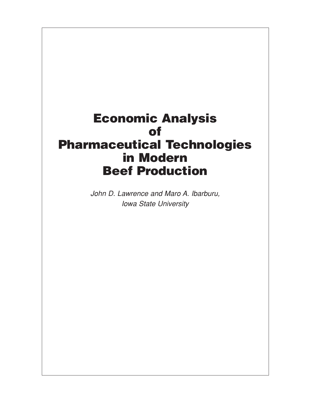# **Economic Analysis of Pharmaceutical Technologies in Modern Beef Production**

John D. Lawrence and Maro A. Ibarburu, Iowa State University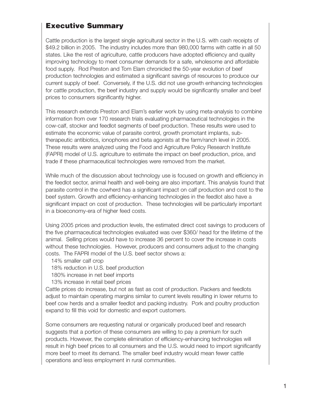### **Executive Summary**

Cattle production is the largest single agricultural sector in the U.S. with cash receipts of \$49.2 billion in 2005. The industry includes more than 980,000 farms with cattle in all 50 states. Like the rest of agriculture, cattle producers have adopted efficiency and quality improving technology to meet consumer demands for a safe, wholesome and affordable food supply. Rod Preston and Tom Elam chronicled the 50-year evolution of beef production technologies and estimated a significant savings of resources to produce our current supply of beef. Conversely, if the U.S. did not use growth enhancing technologies for cattle production, the beef industry and supply would be significantly smaller and beef prices to consumers significantly higher.

This research extends Preston and Elam's earlier work by using meta-analysis to combine information from over 170 research trials evaluating pharmaceutical technologies in the cow-calf, stocker and feedlot segments of beef production. These results were used to estimate the economic value of parasite control, growth promotant implants, subtherapeutic antibiotics, ionophores and beta agonists at the farm/ranch level in 2005. These results were analyzed using the Food and Agriculture Policy Research Institute (FAPRI) model of U.S. agriculture to estimate the impact on beef production, price, and trade if these pharmaceutical technologies were removed from the market.

While much of the discussion about technology use is focused on growth and efficiency in the feedlot sector, animal health and well-being are also important. This analysis found that parasite control in the cowherd has a significant impact on calf production and cost to the beef system. Growth and efficiency-enhancing technologies in the feedlot also have a significant impact on cost of production. These technologies will be particularly important in a bioeconomy-era of higher feed costs.

Using 2005 prices and production levels, the estimated direct cost savings to producers of the five pharmaceutical technologies evaluated was over \$360/ head for the lifetime of the animal. Selling prices would have to increase 36 percent to cover the increase in costs without these technologies. However, producers and consumers adjust to the changing costs. The FAPRI model of the U.S. beef sector shows a:

14% smaller calf crop

18% reduction in U.S. beef production

180% increase in net beef imports

13% increase in retail beef prices

Cattle prices do increase, but not as fast as cost of production. Packers and feedlots adjust to maintain operating margins similar to current levels resulting in lower returns to beef cow herds and a smaller feedlot and packing industry. Pork and poultry production expand to fill this void for domestic and export customers.

Some consumers are requesting natural or organically produced beef and research suggests that a portion of these consumers are willing to pay a premium for such products. However, the complete elimination of efficiency-enhancing technologies will result in high beef prices to all consumers and the U.S. would need to import significantly more beef to meet its demand. The smaller beef industry would mean fewer cattle operations and less employment in rural communities.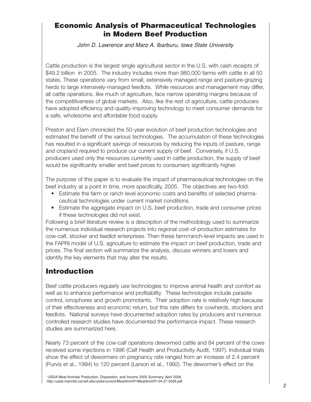### **Economic Analysis of Pharmaceutical Technologies in Modern Beef Production**

John D. Lawrence and Maro A. Ibarburu, Iowa State University

Cattle production is the largest single agricultural sector in the U.S. with cash receipts of \$49.2 billion in 2005. The industry includes more than 980,000 farms with cattle in all 50 states. These operations vary from small, extensively managed range and pasture-grazing herds to large intensively-managed feedlots. While resources and management may differ. all cattle operations, like much of agriculture, face narrow operating margins because of the competitiveness of global markets. Also, like the rest of agriculture, cattle producers have adopted efficiency and quality-improving technology to meet consumer demands for a safe, wholesome and affordable food supply.

Preston and Elam chronicled the 50-year evolution of beef production technologies and estimated the benefit of the various technologies. The accumulation of these technologies has resulted in a significant savings of resources by reducing the inputs of pasture, range and cropland required to produce our current supply of beef. Conversely, if U.S. producers used only the resources currently used in cattle production, the supply of beef would be significantly smaller and beef prices to consumers significantly higher.

The purpose of this paper is to evaluate the impact of pharmaceutical technologies on the beef industry at a point in time, more specifically, 2005. The objectives are two-fold:

- Estimate the farm or ranch level economic costs and benefits of selected pharmaceutical technologies under current market conditions.
- Estimate the aggregate impact on U.S. beef production, trade and consumer prices if these technologies did not exist.

Following a brief literature review is a description of the methodology used to summarize the numerous individual research projects into regional cost-of-production estimates for cow-calf, stocker and feedlot enterprises. Then these farm/ranch-level impacts are used in the FAPRI model of U.S. agriculture to estimate the impact on beef production, trade and prices. The final section will summarize the analysis, discuss winners and losers and identify the key elements that may alter the results.

# **Introduction**

Beef cattle producers regularly use technologies to improve animal health and comfort as well as to enhance performance and profitability. These technologies include parasite control, ionophores and growth promotants. Their adoption rate is relatively high because of their effectiveness and economic return, but this rate differs for cowherds, stockers and feedlots. National surveys have documented adoption rates by producers and numerous controlled research studies have documented the performance impact. These research studies are summarized here.

Nearly 73 percent of the cow-calf operations dewormed cattle and 84 percent of the cows received some injections in 1996 (Calf Health and Productivity Audit, 1997). Individual trials show the effect of dewormers on pregnancy rate ranged from an increase of 2.4 percent (Purvis et al., 1994) to 120 percent (Larson et al., 1992). The dewormer's effect on the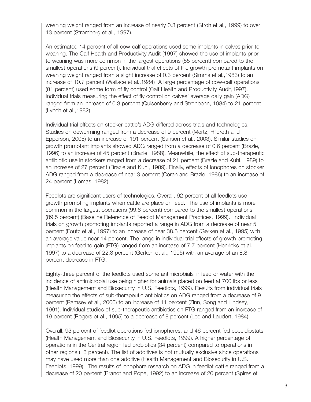weaning weight ranged from an increase of nearly 0.3 percent (Stroh et al., 1999) to over 13 percent (Stromberg et al., 1997).

An estimated 14 percent of all cow-calf operations used some implants in calves prior to weaning. The Calf Health and Productivity Audit (1997) showed the use of implants prior to weaning was more common in the largest operations (55 percent) compared to the smallest operations (9 percent). Individual trial effects of the growth promotant implants on weaning weight ranged from a slight increase of 0.3 percent (Simms et al.,1983) to an increase of 10.7 percent (Wallace et al.,1984) A large percentage of cow-calf operations (81 percent) used some form of fly control (Calf Health and Productivity Audit,1997). Individual trials measuring the effect of fly control on calves' average daily gain (ADG) ranged from an increase of 0.3 percent (Quisenberry and Strohbehn, 1984) to 21 percent (Lynch et al.,1982).

Individual trial effects on stocker cattle's ADG differed across trials and technologies. Studies on deworming ranged from a decrease of 9 percent (Mertz, Hildreth and Epperson, 2005) to an increase of 191 percent (Sanson et al., 2003). Similar studies on growth promotant implants showed ADG ranged from a decrease of 0.6 percent (Brazle, 1996) to an increase of 45 percent (Brazle, 1988). Meanwhile, the effect of sub-therapeutic antibiotic use in stockers ranged from a decrease of 21 percent (Brazle and Kuhl, 1989) to an increase of 27 percent (Brazle and Kuhl, 1989). Finally, effects of ionophores on stocker ADG ranged from a decrease of near 3 percent (Corah and Brazle, 1986) to an increase of 24 percent (Lomas, 1982).

Feedlots are significant users of technologies. Overall, 92 percent of all feedlots use growth promoting implants when cattle are place on feed. The use of implants is more common in the largest operations (99.6 percent) compared to the smallest operations (89.5 percent) (Baseline Reference of Feedlot Management Practices, 1999). Individual trials on growth promoting implants reported a range in ADG from a decrease of near 5 percent (Foutz et al., 1997) to an increase of near 38.6 percent (Gerken et al., 1995) with an average value near 14 percent. The range in individual trial effects of growth promoting implants on feed to gain (FTG) ranged from an increase of 7.7 percent (Henricks et al., 1997) to a decrease of 22.8 percent (Gerken et al., 1995) with an average of an 8.8 percent decrease in FTG.

Eighty-three percent of the feedlots used some antimicrobials in feed or water with the incidence of antimicrobial use being higher for animals placed on feed at 700 lbs or less (Health Management and Biosecurity in U.S. Feedlots, 1999). Results from individual trials measuring the effects of sub-therapeutic antibiotics on ADG ranged from a decrease of 9 percent (Ramsey et al., 2000) to an increase of 11 percent (Zinn, Song and Lindsey, 1991). Individual studies of sub-therapeutic antibiotics on FTG ranged from an increase of 19 percent (Rogers et al., 1995) to a decrease of 8 percent (Lee and Laudert, 1984).

Overall, 93 percent of feedlot operations fed ionophores, and 46 percent fed coccidiostats (Health Management and Biosecurity in U.S. Feedlots, 1999). A higher percentage of operations in the Central region fed probiotics (34 percent) compared to operations in other regions (13 percent). The list of additives is not mutually exclusive since operations may have used more than one additive (Health Management and Biosecurity in U.S. Feedlots, 1999). The results of ionophore research on ADG in feedlot cattle ranged from a decrease of 20 percent (Brandt and Pope, 1992) to an increase of 20 percent (Spires et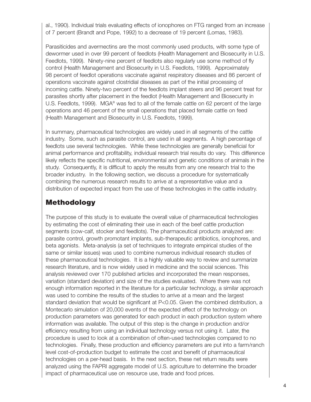al., 1990). Individual trials evaluating effects of ionophores on FTG ranged from an increase of 7 percent (Brandt and Pope, 1992) to a decrease of 19 percent (Lomas, 1983).

Parasiticides and avermectins are the most commonly used products, with some type of dewormer used in over 99 percent of feedlots (Health Management and Biosecurity in U.S. Feedlots, 1999). Ninety-nine percent of feedlots also regularly use some method of fly control (Health Management and Biosecurity in U.S. Feedlots, 1999). Approximately 98 percent of feedlot operations vaccinate against respiratory diseases and 86 percent of operations vaccinate against clostridial diseases as part of the initial processing of incoming cattle. Ninety-two percent of the feedlots implant steers and 96 percent treat for parasites shortly after placement in the feedlot (Health Management and Biosecurity in U.S. Feedlots, 1999). MGA® was fed to all of the female cattle on 62 percent of the large operations and 46 percent of the small operations that placed female cattle on feed (Health Management and Biosecurity in U.S. Feedlots, 1999).

In summary, pharmaceutical technologies are widely used in all segments of the cattle industry. Some, such as parasite control, are used in all segments. A high percentage of feedlots use several technologies. While these technologies are generally beneficial for animal performance and profitability, individual research trial results do vary. This difference likely reflects the specific nutritional, environmental and genetic conditions of animals in the study. Consequently, it is difficult to apply the results from any one research trial to the broader industry. In the following section, we discuss a procedure for systematically combining the numerous research results to arrive at a representative value and a distribution of expected impact from the use of these technologies in the cattle industry.

# **Methodology**

The purpose of this study is to evaluate the overall value of pharmaceutical technologies by estimating the cost of eliminating their use in each of the beef cattle production segments (cow-calf, stocker and feedlots). The pharmaceutical products analyzed are: parasite control, growth promotant implants, sub-therapeutic antibiotics, ionophores, and beta agonists. Meta-analysis (a set of techniques to integrate empirical studies of the same or similar issues) was used to combine numerous individual research studies of these pharmaceutical technologies. It is a highly valuable way to review and summarize research literature, and is now widely used in medicine and the social sciences. This analysis reviewed over 170 published articles and incorporated the mean responses, variation (standard deviation) and size of the studies evaluated. Where there was not enough information reported in the literature for a particular technology, a similar approach was used to combine the results of the studies to arrive at a mean and the largest standard deviation that would be significant at P<0.05. Given the combined distribution, a Montecarlo simulation of 20,000 events of the expected effect of the technology on production parameters was generated for each product in each production system where information was available. The output of this step is the change in production and/or efficiency resulting from using an individual technology versus not using it. Later, the procedure is used to look at a combination of often-used technologies compared to no technologies. Finally, these production and efficiency parameters are put into a farm/ranch level cost-of-production budget to estimate the cost and benefit of pharmaceutical technologies on a per-head basis. In the next section, these net return results were analyzed using the FAPRI aggregate model of U.S. agriculture to determine the broader impact of pharmaceutical use on resource use, trade and food prices.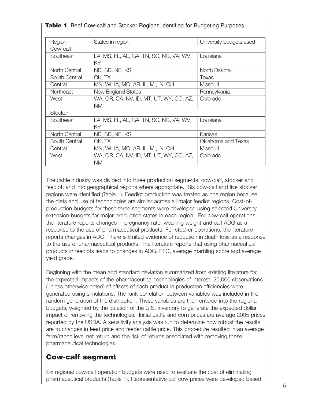| Region           | States in region                        | University budgets used |
|------------------|-----------------------------------------|-------------------------|
| Cow-calf         |                                         |                         |
| Southeast        | LA, MS, FL, AL, GA, TN, SC, NC, VA, WV, | Louisiana               |
|                  | ΚY                                      |                         |
| North Central    | ND, SD, NE, KS                          | North Dakota            |
| South Central    | OK, TX                                  | Texas                   |
| Central          | MN, WI, IA, MO, AR, IL, MI, IN, OH      | Missouri                |
| <b>Northeast</b> | New England States                      | Pennsylvania            |
| West             | WA, OR, CA, NV, ID, MT, UT, WY, CO, AZ, | Colorado                |
|                  | NM.                                     |                         |
| <b>Stocker</b>   |                                         |                         |
| Southeast        | LA, MS, FL, AL, GA, TN, SC, NC, VA, WV, | Louisiana               |
|                  | KY                                      |                         |
| North Central    | ND, SD, NE, KS                          | Kansas                  |
| South Central    | OK, TX                                  | Oklahoma and Texas      |
| Central          | MN, WI, IA, MO, AR, IL, MI, IN, OH      | Missouri                |
| West             | WA, OR, CA, NV, ID, MT, UT, WY, CO, AZ, | Colorado                |
|                  | NM.                                     |                         |

#### **Table 1**. Beef Cow-calf and Stocker Regions Identified for Budgeting Purposes

The cattle industry was divided into three production segments: cow-calf, stocker and feedlot, and into geographical regions where appropriate. Six cow-calf and five stocker regions were identified (Table 1). Feedlot production was treated as one region because the diets and use of technologies are similar across all major feedlot regions. Cost-ofproduction budgets for these three segments were developed using selected University extension budgets for major production states in each region. For cow-calf operations, the literature reports changes in pregnancy rate, weaning weight and calf ADG as a response to the use of pharmaceutical products. For stocker operations, the literature reports changes in ADG. There is limited evidence of reduction in death loss as a response to the use of pharmaceutical products. The literature reports that using pharmaceutical products in feedlots leads to changes in ADG, FTG, average marbling score and average yield grade.

Beginning with the mean and standard deviation summarized from existing literature for the expected impacts of the pharmaceutical technologies of interest, 20,000 observations (unless otherwise noted) of effects of each product in production efficiencies were generated using simulations. The rank correlation between variables was included in the random generation of the distribution. These variables are then entered into the regional budgets, weighted by the location of the U.S. inventory to generate the expected dollar impact of removing the technologies. Initial cattle and corn prices are average 2005 prices reported by the USDA. A sensitivity analysis was run to determine how robust the results are to changes in feed price and feeder cattle price. This procedure resulted in an average farm/ranch level net return and the risk of returns associated with removing these pharmaceutical technologies.

### **Cow-calf segment**

Six regional cow-calf operation budgets were used to evaluate the cost of eliminating pharmaceutical products (Table 1). Representative cull cow prices were developed based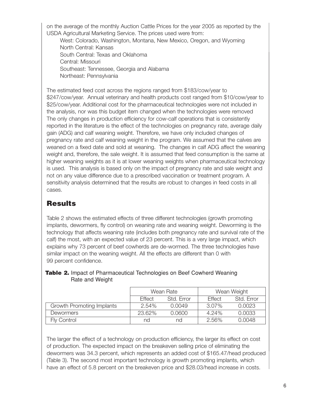on the average of the monthly Auction Cattle Prices for the year 2005 as reported by the USDA Agricultural Marketing Service. The prices used were from:

West: Colorado, Washington, Montana, New Mexico, Oregon, and Wyoming North Central: Kansas South Central: Texas and Oklahoma Central: Missouri Southeast: Tennessee, Georgia and Alabama Northeast: Pennsylvania

The estimated feed cost across the regions ranged from \$183/cow/year to \$247/cow/year. Annual veterinary and health products cost ranged from \$10/cow/year to \$25/cow/year. Additional cost for the pharmaceutical technologies were not included in the analysis, nor was this budget item changed when the technologies were removed The only changes in production efficiency for cow-calf operations that is consistently reported in the literature is the effect of the technologies on pregnancy rate, average daily gain (ADG) and calf weaning weight. Therefore, we have only included changes of pregnancy rate and calf weaning weight in the program. We assumed that the calves are weaned on a fixed date and sold at weaning. The changes in calf ADG affect the weaning weight and, therefore, the sale weight. It is assumed that feed consumption is the same at higher weaning weights as it is at lower weaning weights when pharmaceutical technology is used. This analysis is based only on the impact of pregnancy rate and sale weight and not on any value difference due to a prescribed vaccination or treatment program. A sensitivity analysis determined that the results are robust to changes in feed costs in all cases.

# **Results**

Table 2 shows the estimated effects of three different technologies (growth promoting implants, dewormers, fly control) on weaning rate and weaning weight. Deworming is the technology that affects weaning rate (includes both pregnancy rate and survival rate of the calf) the most, with an expected value of 23 percent. This is a very large impact, which explains why 73 percent of beef cowherds are de-wormed. The three technologies have similar impact on the weaning weight. All the effects are different than 0 with 99 percent confidence.

|                           | Wean Rate<br>Effect<br>Std. Frror |        | Wean Weight |            |
|---------------------------|-----------------------------------|--------|-------------|------------|
|                           |                                   |        | Effect      | Std. Error |
| Growth Promoting Implants | $2.54\%$                          | 0.0049 | $3.07\%$    | 0.0023     |
| <b>Dewormers</b>          | 23.62%                            | 0.0600 | 4.24%       | 0.0033     |
| <b>Fly Control</b>        | nd                                | nd     | $2.56\%$    | 0.0048     |

#### **Table 2.** Impact of Pharmaceutical Technologies on Beef Cowherd Weaning Rate and Weight

The larger the effect of a technology on production efficiency, the larger its effect on cost of production. The expected impact on the breakeven selling price of eliminating the dewormers was 34.3 percent, which represents an added cost of \$165.47/head produced (Table 3). The second most important technology is growth promoting implants, which have an effect of 5.8 percent on the breakeven price and \$28.03/head increase in costs.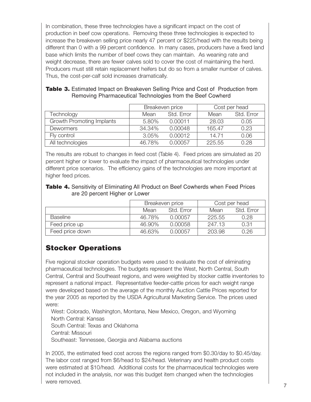In combination, these three technologies have a significant impact on the cost of production in beef cow operations. Removing these three technologies is expected to increase the breakeven selling price nearly 47 percent or \$225/head with the results being different than 0 with a 99 percent confidence. In many cases, producers have a fixed land base which limits the number of beef cows they can maintain. As weaning rate and weight decrease, there are fewer calves sold to cover the cost of maintaining the herd. Producers must still retain replacement heifers but do so from a smaller number of calves. Thus, the cost-per-calf sold increases dramatically.

|                                  | Breakeven price |            |        | Cost per head |
|----------------------------------|-----------------|------------|--------|---------------|
| Technology                       | Mean            | Std. Error | Mean   | Std. Error    |
| <b>Growth Promoting Implants</b> | 5.80%           | 0.00011    | 28.03  | 0.05          |
| Dewormers                        | 34.34%          | 0.00048    | 165.47 | 0.23          |
| Fly control                      | 3.05%           | 0.00012    | 14.71  | 0.06          |
| All technologies                 | 46.78%          | 0.00057    | 225.55 | 0.28          |

#### **Table 3.** Estimated Impact on Breakeven Selling Price and Cost of Production from Removing Pharmaceutical Technologies from the Beef Cowherd

The results are robust to changes in feed cost (Table 4). Feed prices are simulated as 20 percent higher or lower to evaluate the impact of pharmaceutical technologies under different price scenarios. The efficiency gains of the technologies are more important at higher feed prices.

#### Table 4. Sensitivity of Eliminating All Product on Beef Cowherds when Feed Prices are 20 percent Higher or Lower

|                 | Breakeven price |            | Cost per head |            |
|-----------------|-----------------|------------|---------------|------------|
|                 | Mean            | Std. Frror | Mean          | Std. Error |
| <b>Baseline</b> | 46.78%          | 0.00057    | 225.55        | 0.28       |
| Feed price up   | 46.90%          | 0.00058    | 247.13        | 0.31       |
| Feed price down | 46.63%          | 0.00057    | 203.98        | 0.26       |

# **Stocker Operations**

Five regional stocker operation budgets were used to evaluate the cost of eliminating pharmaceutical technologies. The budgets represent the West, North Central, South Central, Central and Southeast regions, and were weighted by stocker cattle inventories to represent a national impact. Representative feeder-cattle prices for each weight range were developed based on the average of the monthly Auction Cattle Prices reported for the year 2005 as reported by the USDA Agricultural Marketing Service. The prices used were:

West: Colorado, Washington, Montana, New Mexico, Oregon, and Wyoming North Central: Kansas South Central: Texas and Oklahoma Central: Missouri Southeast: Tennessee, Georgia and Alabama auctions

In 2005, the estimated feed cost across the regions ranged from \$0.30/day to \$0.45/day. The labor cost ranged from \$6/head to \$24/head. Veterinary and health product costs were estimated at \$10/head. Additional costs for the pharmaceutical technologies were not included in the analysis, nor was this budget item changed when the technologies were removed.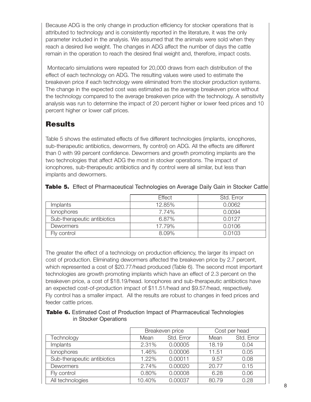Because ADG is the only change in production efficiency for stocker operations that is attributed to technology and is consistently reported in the literature, it was the only parameter included in the analysis. We assumed that the animals were sold when they reach a desired live weight. The changes in ADG affect the number of days the cattle remain in the operation to reach the desired final weight and, therefore, impact costs.

Montecarlo simulations were repeated for 20,000 draws from each distribution of the effect of each technology on ADG. The resulting values were used to estimate the breakeven price if each technology were eliminated from the stocker production systems. The change in the expected cost was estimated as the average breakeven price without the technology compared to the average breakeven price with the technology. A sensitivity analysis was run to determine the impact of 20 percent higher or lower feed prices and 10 percent higher or lower calf prices.

### **Results**

Table 5 shows the estimated effects of five different technologies (implants, ionophores, sub-therapeutic antibiotics, dewormers, fly control) on ADG. All the effects are different than 0 with 99 percent confidence. Dewormers and growth promoting implants are the two technologies that affect ADG the most in stocker operations. The impact of ionophores, sub-therapeutic antibiotics and fly control were all similar, but less than implants and dewormers.

|                             | <b>Effect</b> | Std. Error |
|-----------------------------|---------------|------------|
| Implants                    | 12.85%        | 0.0062     |
| <i>lonophores</i>           | 7.74%         | 0.0094     |
| Sub-therapeutic antibiotics | 6.87%         | 0.0127     |
| <b>Dewormers</b>            | 17.79%        | 0.0106     |
| Fly control                 | 8.09%         | 0.0103     |

| Table 5. Effect of Pharmaceutical Technologies on Average Daily Gain in Stocker Cattle |  |  |
|----------------------------------------------------------------------------------------|--|--|
|                                                                                        |  |  |

The greater the effect of a technology on production efficiency, the larger its impact on cost of production. Eliminating dewormers affected the breakeven price by 2.7 percent, which represented a cost of \$20.77/head produced (Table 6). The second most important technologies are growth promoting implants which have an effect of 2.3 percent on the breakeven price, a cost of \$18.19/head. Ionophores and sub-therapeutic antibiotics have an expected cost-of-production impact of \$11.51/head and \$9.57/head, respectively. Fly control has a smaller impact. All the results are robust to changes in feed prices and feeder cattle prices.

#### **Table 6.** Estimated Cost of Production Impact of Pharmaceutical Technologies in Stocker Operations

|                             | Breakeven price    |         |       | Cost per head |
|-----------------------------|--------------------|---------|-------|---------------|
| Technology                  | Std. Error<br>Mean |         | Mean  | Std. Error    |
| <b>Implants</b>             | 2.31%              | 0.00005 | 18.19 | 0.04          |
| lonophores                  | 1.46%              | 0.00006 | 11.51 | 0.05          |
| Sub-therapeutic antibiotics | 1.22%              | 0.00011 | 9.57  | 0.08          |
| Dewormers                   | 2.74%              | 0.00020 | 20.77 | 0.15          |
| Fly control                 | 0.80%              | 0.00008 | 6.28  | 0.06          |
| All technologies            | 10.40%             | 0.00037 | 80.79 | 0.28          |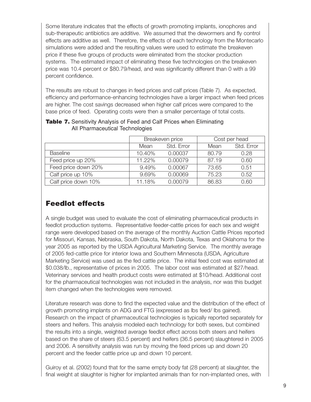Some literature indicates that the effects of growth promoting implants, ionophores and sub-therapeutic antibiotics are additive. We assumed that the dewormers and fly control effects are additive as well. Therefore, the effects of each technology from the Montecarlo simulations were added and the resulting values were used to estimate the breakeven price if these five groups of products were eliminated from the stocker production systems. The estimated impact of eliminating these five technologies on the breakeven price was 10.4 percent or \$80.79/head, and was significantly different than 0 with a 99 percent confidence.

The results are robust to changes in feed prices and calf prices (Table 7). As expected, efficiency and performance-enhancing technologies have a larger impact when feed prices are higher. The cost savings decreased when higher calf prices were compared to the base price of feed. Operating costs were then a smaller percentage of total costs.

|                     | Breakeven price |            |       | Cost per head |
|---------------------|-----------------|------------|-------|---------------|
|                     | Mean            | Std. Error | Mean  | Std. Error    |
| <b>Baseline</b>     | 10.40%          | 0.00037    | 80.79 | 0.28          |
| Feed price up 20%   | 11.22%          | 0.00079    | 87.19 | 0.60          |
| Feed price down 20% | 9.49%           | 0.00067    | 73.65 | 0.51          |
| Calf price up 10%   | 9.69%           | 0.00069    | 75.23 | 0.52          |
| Calf price down 10% | 11.18%          | 0.00079    | 86.83 | 0.60          |

#### **Table 7.** Sensitivity Analysis of Feed and Calf Prices when Eliminating All Pharmaceutical Technologies

# **Feedlot effects**

A single budget was used to evaluate the cost of eliminating pharmaceutical products in feedlot production systems. Representative feeder-cattle prices for each sex and weight range were developed based on the average of the monthly Auction Cattle Prices reported for Missouri, Kansas, Nebraska, South Dakota, North Dakota, Texas and Oklahoma for the year 2005 as reported by the USDA Agricultural Marketing Service. The monthly average of 2005 fed-cattle price for interior Iowa and Southern Minnesota (USDA, Agriculture Marketing Service) was used as the fed cattle price. The initial feed cost was estimated at \$0.038/lb., representative of prices in 2005. The labor cost was estimated at \$27/head. Veterinary services and health product costs were estimated at \$10/head. Additional cost for the pharmaceutical technologies was not included in the analysis, nor was this budget item changed when the technologies were removed.

Literature research was done to find the expected value and the distribution of the effect of growth promoting implants on ADG and FTG (expressed as lbs feed/ lbs gained). Research on the impact of pharmaceutical technologies is typically reported separately for steers and heifers. This analysis modeled each technology for both sexes, but combined the results into a single, weighted average feedlot effect across both steers and heifers based on the share of steers (63.5 percent) and heifers (36.5 percent) slaughtered in 2005 and 2006. A sensitivity analysis was run by moving the feed prices up and down 20 percent and the feeder cattle price up and down 10 percent.

Guiroy et al. (2002) found that for the same empty body fat (28 percent) at slaughter, the final weight at slaughter is higher for implanted animals than for non-implanted ones, with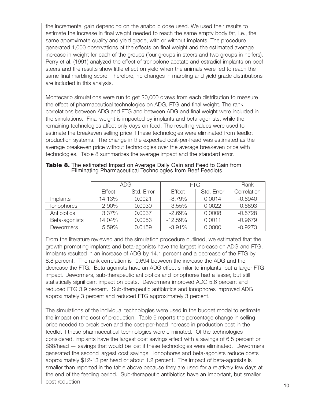the incremental gain depending on the anabolic dose used. We used their results to estimate the increase in final weight needed to reach the same empty body fat, i.e., the same approximate quality and yield grade, with or without implants. The procedure generated 1,000 observations of the effects on final weight and the estimated average increase in weight for each of the groups (four groups in steers and two groups in heifers). Perry et al. (1991) analyzed the effect of trenbolone acetate and estradiol implants on beef steers and the results show little effect on yield when the animals were fed to reach the same final marbling score. Therefore, no changes in marbling and yield grade distributions are included in this analysis.

Montecarlo simulations were run to get 20,000 draws from each distribution to measure the effect of pharmaceutical technologies on ADG, FTG and final weight. The rank correlations between ADG and FTG and between ADG and final weight were included in the simulations. Final weight is impacted by implants and beta-agonists, while the remaining technologies affect only days on feed. The resulting values were used to estimate the breakeven selling price if these technologies were eliminated from feedlot production systems. The change in the expected cost-per-head was estimated as the average breakeven price without technologies over the average breakeven price with technologies. Table 8 summarizes the average impact and the standard error.

|                   | ADG.   |            | FTG.          | Rank       |             |
|-------------------|--------|------------|---------------|------------|-------------|
|                   | Effect | Std. Error | <b>Effect</b> | Std. Error | Correlation |
| Implants          | 14.13% | 0.0021     | $-8.79%$      | 0.0014     | $-0.6940$   |
| <b>lonophores</b> | 2.90%  | 0.0030     | $-3.55\%$     | 0.0022     | $-0.6893$   |
| Antibiotics       | 3.37%  | 0.0037     | $-2.69%$      | 0.0008     | $-0.5728$   |
| Beta-agonists     | 14.04% | 0.0053     | $-12.59%$     | 0.0011     | $-0.9679$   |
| Dewormers         | 5.59%  | 0.0159     | $-3.91%$      | 0.0000     | $-0.9273$   |

#### **Table 8.** The estimated Impact on Average Daily Gain and Feed to Gain from Eliminating Pharmaceutical Technologies from Beef Feedlots

From the literature reviewed and the simulation procedure outlined, we estimated that the growth promoting implants and beta-agonists have the largest increase on ADG and FTG. Implants resulted in an increase of ADG by 14.1 percent and a decrease of the FTG by 8.8 percent. The rank correlation is -0.694 between the increase the ADG and the decrease the FTG. Beta-agonists have an ADG effect similar to implants, but a larger FTG impact. Dewormers, sub-therapeutic antibiotics and ionophores had a lesser, but still statistically significant impact on costs. Dewormers improved ADG 5.6 percent and reduced FTG 3.9 percent. Sub-therapeutic antibiotics and ionophores improved ADG approximately 3 percent and reduced FTG approximately 3 percent.

The simulations of the individual technologies were used in the budget model to estimate the impact on the cost of production. Table 9 reports the percentage change in selling price needed to break even and the cost-per-head increase in production cost in the feedlot if these pharmaceutical technologies were eliminated. Of the technologies considered, implants have the largest cost savings effect with a savings of 6.5 percent or \$68/head — savings that would be lost if these technologies were eliminated. Dewormers generated the second largest cost savings. Ionophores and beta-agonists reduce costs approximately \$12-13 per head or about 1.2 percent. The impact of beta-agonists is smaller than reported in the table above because they are used for a relatively few days at the end of the feeding period. Sub-therapeutic antibiotics have an important, but smaller cost reduction.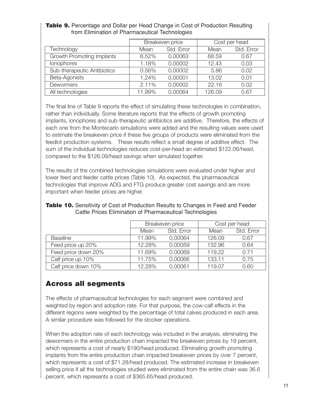|                                  | Breakeven price |            |        | Cost per head |
|----------------------------------|-----------------|------------|--------|---------------|
| Technology                       | Mean            | Std. Error | Mean   | Std. Error    |
| <b>Growth Promoting Implants</b> | 6.52%           | 0.00063    | 68.59  | 0.67          |
| <b>lonophores</b>                | 1.18%           | 0.00002    | 12.43  | 0.03          |
| Sub-therapeutic Antibiotics      | 0.56%           | 0.00002    | 5.86   | 0.02          |
| Beta-Agonists                    | 1.24%           | 0.00001    | 13.02  | 0.01          |
| Dewormers                        | 2.11%           | 0.00002    | 22.16  | 0.02          |
| All technologies                 | 11.99%          | 0.00064    | 126.09 | 0.67          |

#### **Table 9.** Percentage and Dollar per Head Change in Cost of Production Resulting from Elimination of Pharmaceutical Technologies

The final line of Table 9 reports the effect of simulating these technologies in combination, rather than individually. Some literature reports that the effects of growth promoting implants, ionophores and sub-therapeutic antibiotics are additive. Therefore, the effects of each one from the Montecarlo simulations were added and the resulting values were used to estimate the breakeven price if these five groups of products were eliminated from the feedlot production systems. These results reflect a small degree of additive effect. The sum of the individual technologies reduces cost-per-head an estimated \$122.06/head, compared to the \$126.09/head savings when simulated together.

The results of the combined technologies simulations were evaluated under higher and lower feed and feeder cattle prices (Table 10). As expected, the pharmaceutical technologies that improve ADG and FTG produce greater cost savings and are more important when feeder prices are higher.

|                     | Breakeven price<br>Std. Error<br>Mean |         |        | Cost per head |
|---------------------|---------------------------------------|---------|--------|---------------|
|                     |                                       |         | Mean   | Std. Error    |
| <b>Baseline</b>     | 11.99%                                | 0.00064 | 126.09 | 0.67          |
| Feed price up 20%   | 12.28%                                | 0.00059 | 132.96 | 0.64          |
| Feed price down 20% | 11.69%                                | 0.00069 | 119.22 | 0.71          |
| Calf price up 10%   | 11.75%                                | 0.00066 | 133.11 | 0.75          |
| Calf price down 10% | 12.28%                                | 0.00061 | 119.07 | 0.60          |

#### **Table 10.** Sensitivity of Cost of Production Results to Changes in Feed and Feeder Cattle Prices Elimination of Pharmaceutical Technologies

### **Across all segments**

The effects of pharmaceutical technologies for each segment were combined and weighted by region and adoption rate. For that purpose, the cow-calf effects in the different regions were weighted by the percentage of total calves produced in each area. A similar procedure was followed for the stocker operations.

When the adoption rate of each technology was included in the analysis, eliminating the dewormers in the entire production chain impacted the breakeven prices by 19 percent, which represents a cost of nearly \$190/head produced. Eliminating growth promoting implants from the entire production chain impacted breakeven prices by over 7 percent, which represents a cost of \$71.28/head produced. The estimated increase in breakeven selling price if all the technologies studied were eliminated from the entire chain was 36.6 percent, which represents a cost of \$365.65/head produced.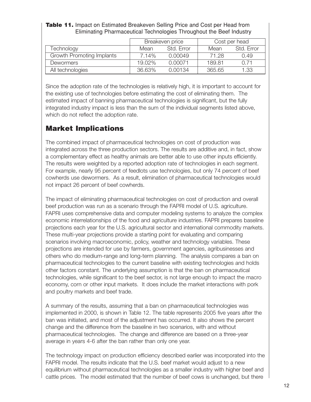| <b>Table 11.</b> Impact on Estimated Breakeven Selling Price and Cost per Head from |  |
|-------------------------------------------------------------------------------------|--|
| Eliminating Pharmaceutical Technologies Throughout the Beef Industry                |  |

|                           | Breakeven price |            | Cost per head |            |
|---------------------------|-----------------|------------|---------------|------------|
| Technology                | Mean            | Std. Frror | Mean          | Std. Error |
| Growth Promoting Implants | 7.14%           | 0.00049    | 71.28         | 0.49       |
| <b>Dewormers</b>          | $19.02\%$       | 0.00071    | 189.81        | O 71       |
| All technologies          | 36.63%          | 0.00134    | 365.65        | 1.33       |

Since the adoption rate of the technologies is relatively high, it is important to account for the existing use of technologies before estimating the cost of eliminating them. The estimated impact of banning pharmaceutical technologies is significant, but the fully integrated industry impact is less than the sum of the individual segments listed above, which do not reflect the adoption rate.

### **Market Implications**

The combined impact of pharmaceutical technologies on cost of production was integrated across the three production sectors. The results are additive and, in fact, show a complementary effect as healthy animals are better able to use other inputs efficiently. The results were weighted by a reported adoption rate of technologies in each segment. For example, nearly 95 percent of feedlots use technologies, but only 74 percent of beef cowherds use dewormers. As a result, elimination of pharmaceutical technologies would not impact 26 percent of beef cowherds.

The impact of eliminating pharmaceutical technologies on cost of production and overall beef production was run as a scenario through the FAPRI model of U.S. agriculture. FAPRI uses comprehensive data and computer modeling systems to analyze the complex economic interrelationships of the food and agriculture industries. FAPRI prepares baseline projections each year for the U.S. agricultural sector and international commodity markets. These multi-year projections provide a starting point for evaluating and comparing scenarios involving macroeconomic, policy, weather and technology variables. These projections are intended for use by farmers, government agencies, agribusinesses and others who do medium-range and long-term planning. The analysis compares a ban on pharmaceutical technologies to the current baseline with existing technologies and holds other factors constant. The underlying assumption is that the ban on pharmaceutical technologies, while significant to the beef sector, is not large enough to impact the macro economy, corn or other input markets. It does include the market interactions with pork and poultry markets and beef trade.

A summary of the results, assuming that a ban on pharmaceutical technologies was implemented in 2000, is shown in Table 12. The table represents 2005 five years after the ban was initiated, and most of the adjustment has occurred. It also shows the percent change and the difference from the baseline in two scenarios, with and without pharmaceutical technologies. The change and difference are based on a three-year average in years 4-6 after the ban rather than only one year.

The technology impact on production efficiency described earlier was incorporated into the FAPRI model. The results indicate that the U.S. beef market would adjust to a new equilibrium without pharmaceutical technologies as a smaller industry with higher beef and cattle prices. The model estimated that the number of beef cows is unchanged, but there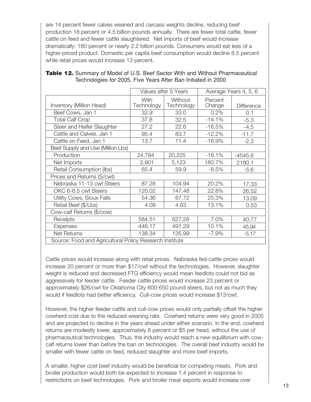are 14 percent fewer calves weaned and carcass weights decline, reducing beef production 18 percent or 4.5 billion pounds annually. There are fewer total cattle, fewer cattle on feed and fewer cattle slaughtered. Net imports of beef would increase dramatically: 180 percent or nearly 2.2 billion pounds. Consumers would eat less of a higher-priced product. Domestic per capita beef consumption would decline 8.5 percent while retail prices would increase 13 percent.

|                                                         | Values after 5 Years |                       | Average Years 4, 5, 6 |                   |  |  |  |
|---------------------------------------------------------|----------------------|-----------------------|-----------------------|-------------------|--|--|--|
| Inventory (Million Head)                                | With<br>Technology   | Without<br>Technology | Percent<br>Change     | <b>Difference</b> |  |  |  |
| Beef Cows, Jan 1                                        | 32.9                 | 33.0                  | 0.2%                  | 0.1               |  |  |  |
| <b>Total Calf Crop</b>                                  | 37.8                 | 32.5                  | $-14.1%$              | $-5.3$            |  |  |  |
| Steer and Heifer Slaughter                              | 27.2                 | 22.6                  | $-16.5%$              | $-4.5$            |  |  |  |
| Cattle and Calves, Jan 1                                | 95.4                 | 83.7                  | $-12.2%$              | $-11.7$           |  |  |  |
| Cattle on Feed, Jan 1                                   | 13.7                 | 11.4                  | $-16.9%$              | $-2.3$            |  |  |  |
| Beef Supply and Use (Million Lbs)                       |                      |                       |                       |                   |  |  |  |
| Production                                              | 24,784               | 20,225                | $-18.1%$              | $-4545.6$         |  |  |  |
| Net Imports                                             | 2,901                | 5,123                 | 180.7%                | 2180.1            |  |  |  |
| Retail Consumption (lbs)                                | 65.4                 | 59.9                  | $-8.5%$               | $-5.6$            |  |  |  |
| Prices and Returns (S/cwt)                              |                      |                       |                       |                   |  |  |  |
| Nebraska 11-13 cwt Steers                               | 87.28                | 104.94                | 20.2%                 | 17.33             |  |  |  |
| OKC 6-6.5 cwt Steers                                    | 120.02               | 147.48                | 22.8%                 | 26.52             |  |  |  |
| Utility Cows, Sioux Falls                               | 54.36                | 67.72                 | 25.3%                 | 13.09             |  |  |  |
| Retail Beef (\$/Lbs)                                    | 4.09                 | 4.63                  | 13.1%                 | 0.53              |  |  |  |
| Cow-calf Returns (\$/cow)                               |                      |                       |                       |                   |  |  |  |
| Receipts                                                | 584.51               | 627.28                | 7.0%                  | 40.77             |  |  |  |
| <b>Expenses</b>                                         | 446.17               | 491.29                | 10.1%                 | 45.94             |  |  |  |
| <b>Net Returns</b>                                      | 138.34               | 135.99                | $-7.9%$               | $-5.17$           |  |  |  |
| Source: Food and Agricultural Policy Research Institute |                      |                       |                       |                   |  |  |  |

#### **Table 12.** Summary of Model of U.S. Beef Sector With and Without Pharmaceutical Technologies for 2005, Five Years After Ban Initiated in 2000

Cattle prices would increase along with retail prices. Nebraska fed-cattle prices would increase 20 percent or more than \$17/cwt without the technologies. However, slaughter weight is reduced and decreased FTG efficiency would mean feedlots could not bid as aggressively for feeder cattle. Feeder cattle prices would increase 23 percent or approximately \$26/cwt for Oklahoma City 600-650 pound steers, but not as much they would if feedlots had better efficiency. Cull-cow prices would increase \$13/cwt.

However, the higher feeder cattle and cull-cow prices would only partially offset the higher cowherd cost due to the reduced weaning rate. Cowherd returns were very good in 2005 and are projected to decline in the years ahead under either scenario. In the end, cowherd returns are modestly lower, approximately 8 percent or \$5 per head, without the use of pharmaceutical technologies. Thus, the industry would reach a new equilibrium with cowcalf returns lower than before the ban on technologies. The overall beef industry would be smaller with fewer cattle on feed, reduced slaughter and more beef imports.

A smaller, higher cost beef industry would be beneficial for competing meats. Pork and broiler production would both be expected to increase 1.4 percent in response to restrictions on beef technologies. Pork and broiler meat exports would increase over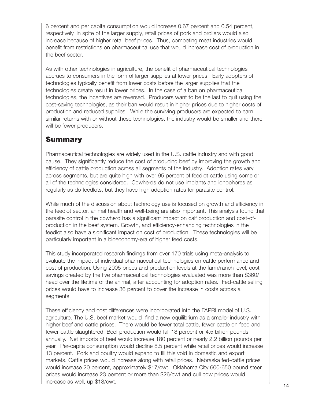6 percent and per capita consumption would increase 0.67 percent and 0.54 percent, respectively. In spite of the larger supply, retail prices of pork and broilers would also increase because of higher retail beef prices. Thus, competing meat industries would benefit from restrictions on pharmaceutical use that would increase cost of production in the beef sector.

As with other technologies in agriculture, the benefit of pharmaceutical technologies accrues to consumers in the form of larger supplies at lower prices. Early adopters of technologies typically benefit from lower costs before the larger supplies that the technologies create result in lower prices. In the case of a ban on pharmaceutical technologies, the incentives are reversed. Producers want to be the last to quit using the cost-saving technologies, as their ban would result in higher prices due to higher costs of production and reduced supplies. While the surviving producers are expected to earn similar returns with or without these technologies, the industry would be smaller and there will be fewer producers.

#### **Summary**

Pharmaceutical technologies are widely used in the U.S. cattle industry and with good cause. They significantly reduce the cost of producing beef by improving the growth and efficiency of cattle production across all segments of the industry. Adoption rates vary across segments, but are quite high with over 95 percent of feedlot cattle using some or all of the technologies considered. Cowherds do not use implants and ionophores as regularly as do feedlots, but they have high adoption rates for parasite control.

While much of the discussion about technology use is focused on growth and efficiency in the feedlot sector, animal health and well-being are also important. This analysis found that parasite control in the cowherd has a significant impact on calf production and cost-ofproduction in the beef system. Growth, and efficiency-enhancing technologies in the feedlot also have a significant impact on cost of production. These technologies will be particularly important in a bioeconomy-era of higher feed costs.

This study incorporated research findings from over 170 trials using meta-analysis to evaluate the impact of individual pharmaceutical technologies on cattle performance and cost of production. Using 2005 prices and production levels at the farm/ranch level, cost savings created by the five pharmaceutical technologies evaluated was more than \$360/ head over the lifetime of the animal, after accounting for adoption rates. Fed-cattle selling prices would have to increase 36 percent to cover the increase in costs across all segments.

These efficiency and cost differences were incorporated into the FAPRI model of U.S. agriculture. The U.S. beef market would find a new equilibrium as a smaller industry with higher beef and cattle prices. There would be fewer total cattle, fewer cattle on feed and fewer cattle slaughtered. Beef production would fall 18 percent or 4.5 billion pounds annually. Net imports of beef would increase 180 percent or nearly 2.2 billion pounds per year. Per-capita consumption would decline 8.5 percent while retail prices would increase 13 percent. Pork and poultry would expand to fill this void in domestic and export markets. Cattle prices would increase along with retail prices. Nebraska fed-cattle prices would increase 20 percent, approximately \$17/cwt. Oklahoma City 600-650 pound steer prices would increase 23 percent or more than \$26/cwt and cull cow prices would  $\blacksquare$ increase as well, up \$13/cwt. 14